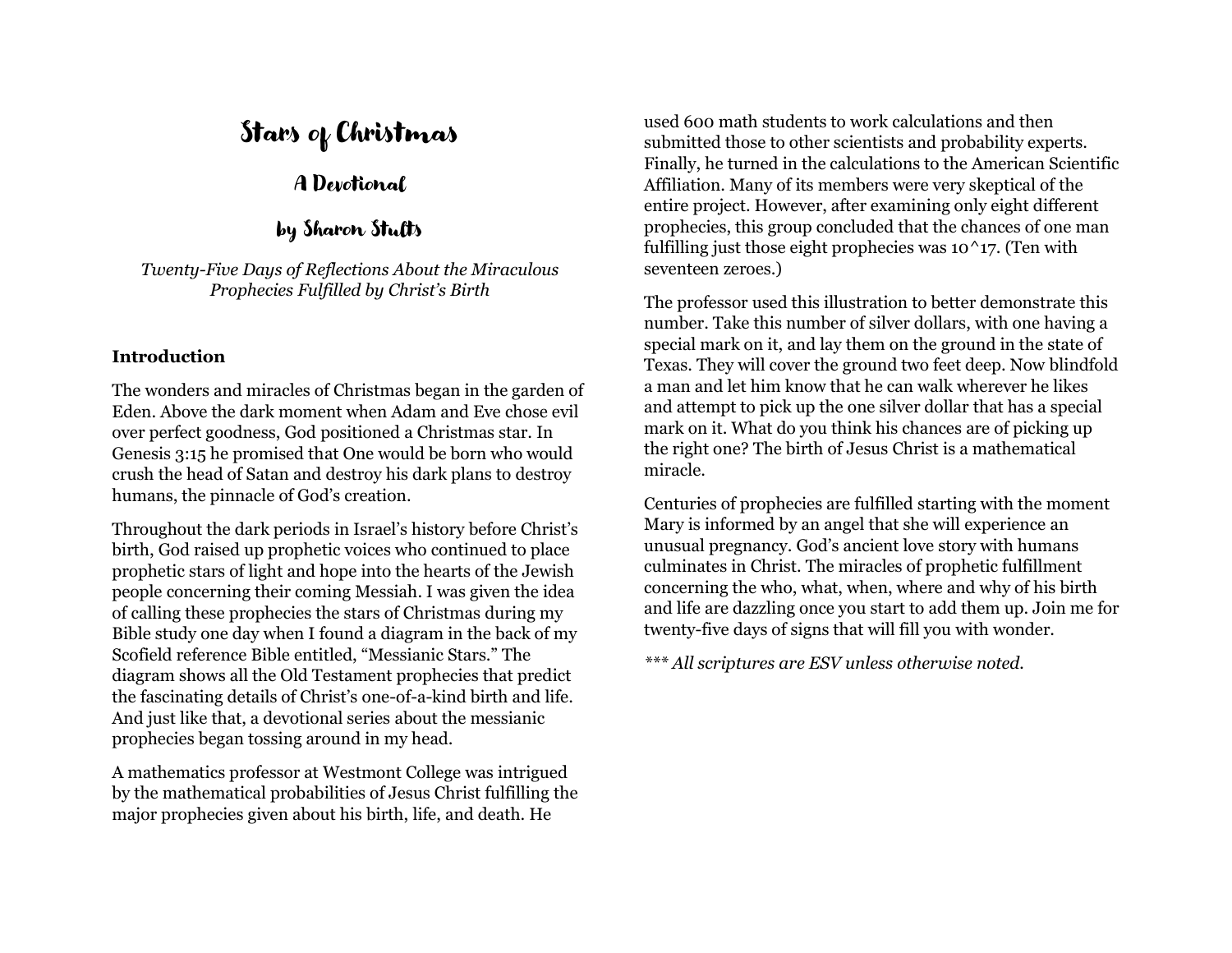# Stars of Christmas

# A Devotional

#### by Sharon Stults

*Twenty-Five Days of Reflections About the Miraculous Prophecies Fulfilled by Christ's Birth*

#### **Introduction**

The wonders and miracles of Christmas began in the garden of Eden. Above the dark moment when Adam and Eve chose evil over perfect goodness, God positioned a Christmas star. In Genesis 3:15 he promised that One would be born who would crush the head of Satan and destroy his dark plans to destroy humans, the pinnacle of God's creation.

Throughout the dark periods in Israel's history before Christ's birth, God raised up prophetic voices who continued to place prophetic stars of light and hope into the hearts of the Jewish people concerning their coming Messiah. I was given the idea of calling these prophecies the stars of Christmas during my Bible study one day when I found a diagram in the back of my Scofield reference Bible entitled, "Messianic Stars." The diagram shows all the Old Testament prophecies that predict the fascinating details of Christ's one-of-a-kind birth and life. And just like that, a devotional series about the messianic prophecies began tossing around in my head.

A mathematics professor at Westmont College was intrigued by the mathematical probabilities of Jesus Christ fulfilling the major prophecies given about his birth, life, and death. He

used 600 math students to work calculations and then submitted those to other scientists and probability experts. Finally, he turned in the calculations to the American Scientific Affiliation. Many of its members were very skeptical of the entire project. However, after examining only eight different prophecies, this group concluded that the chances of one man fulfilling just those eight prophecies was  $10^17$ . (Ten with seventeen zeroes.)

The professor used this illustration to better demonstrate this number. Take this number of silver dollars, with one having a special mark on it, and lay them on the ground in the state of Texas. They will cover the ground two feet deep. Now blindfold a man and let him know that he can walk wherever he likes and attempt to pick up the one silver dollar that has a special mark on it. What do you think his chances are of picking up the right one? The birth of Jesus Christ is a mathematical miracle.

Centuries of prophecies are fulfilled starting with the moment Mary is informed by an angel that she will experience an unusual pregnancy. God's ancient love story with humans culminates in Christ. The miracles of prophetic fulfillment concerning the who, what, when, where and why of his birth and life are dazzling once you start to add them up. Join me for twenty-five days of signs that will fill you with wonder.

*\*\*\* All scriptures are ESV unless otherwise noted.*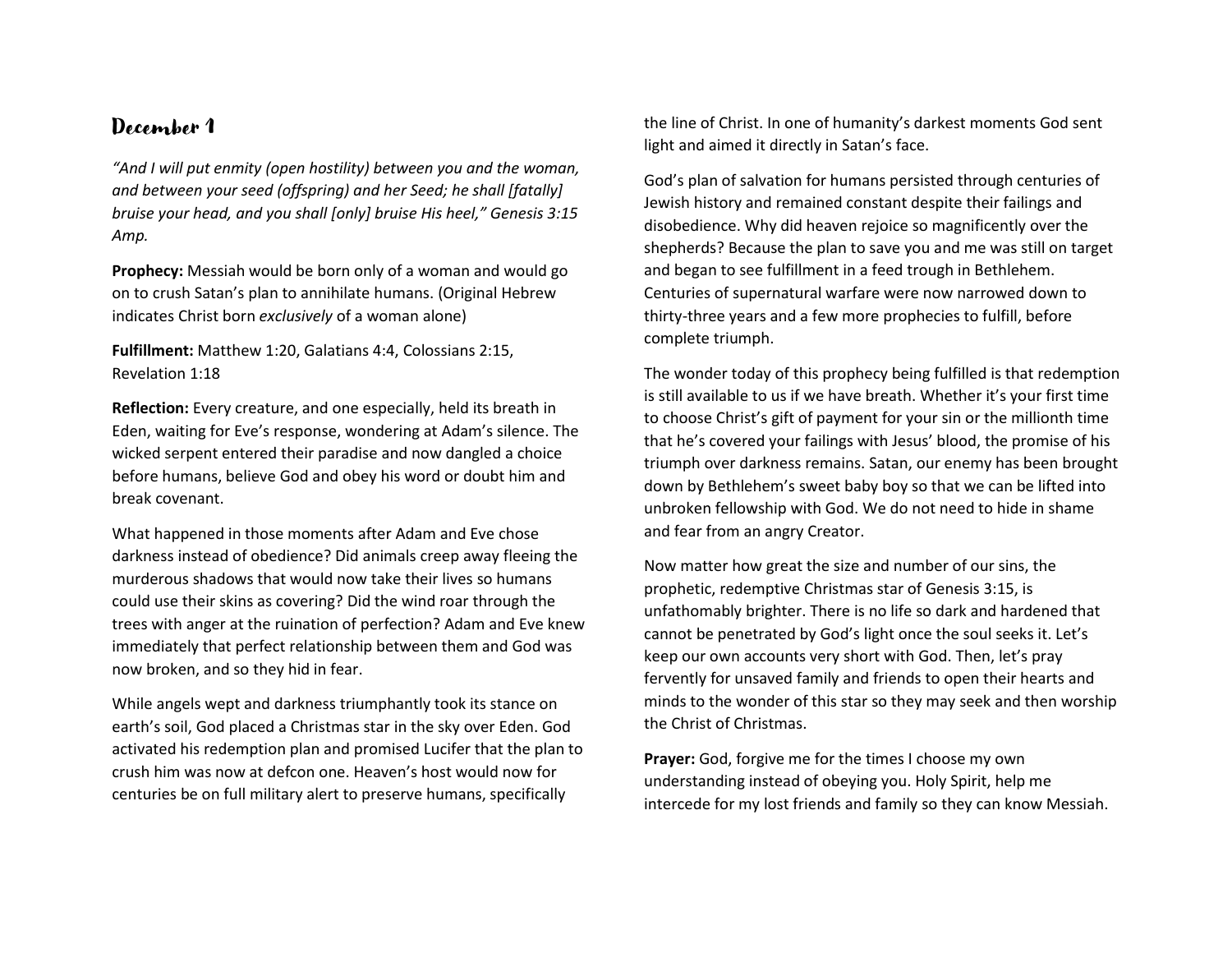*"And I will put enmity (open hostility) between you and the woman, and between your seed (offspring) and her Seed; he shall [fatally] bruise your head, and you shall [only] bruise His heel," Genesis 3:15 Amp.*

**Prophecy:** Messiah would be born only of a woman and would go on to crush Satan's plan to annihilate humans. (Original Hebrew indicates Christ born *exclusively* of a woman alone)

**Fulfillment:** Matthew 1:20, Galatians 4:4, Colossians 2:15, Revelation 1:18

**Reflection:** Every creature, and one especially, held its breath in Eden, waiting for Eve's response, wondering at Adam's silence. The wicked serpent entered their paradise and now dangled a choice before humans, believe God and obey his word or doubt him and break covenant.

What happened in those moments after Adam and Eve chose darkness instead of obedience? Did animals creep away fleeing the murderous shadows that would now take their lives so humans could use their skins as covering? Did the wind roar through the trees with anger at the ruination of perfection? Adam and Eve knew immediately that perfect relationship between them and God was now broken, and so they hid in fear.

While angels wept and darkness triumphantly took its stance on earth's soil, God placed a Christmas star in the sky over Eden. God activated his redemption plan and promised Lucifer that the plan to crush him was now at defcon one. Heaven's host would now for centuries be on full military alert to preserve humans, specifically

the line of Christ. In one of humanity's darkest moments God sent light and aimed it directly in Satan's face.

God's plan of salvation for humans persisted through centuries of Jewish history and remained constant despite their failings and disobedience. Why did heaven rejoice so magnificently over the shepherds? Because the plan to save you and me was still on target and began to see fulfillment in a feed trough in Bethlehem. Centuries of supernatural warfare were now narrowed down to thirty-three years and a few more prophecies to fulfill, before complete triumph.

The wonder today of this prophecy being fulfilled is that redemption is still available to us if we have breath. Whether it's your first time to choose Christ's gift of payment for your sin or the millionth time that he's covered your failings with Jesus' blood, the promise of his triumph over darkness remains. Satan, our enemy has been brought down by Bethlehem's sweet baby boy so that we can be lifted into unbroken fellowship with God. We do not need to hide in shame and fear from an angry Creator.

Now matter how great the size and number of our sins, the prophetic, redemptive Christmas star of Genesis 3:15, is unfathomably brighter. There is no life so dark and hardened that cannot be penetrated by God's light once the soul seeks it. Let's keep our own accounts very short with God. Then, let's pray fervently for unsaved family and friends to open their hearts and minds to the wonder of this star so they may seek and then worship the Christ of Christmas.

**Prayer:** God, forgive me for the times I choose my own understanding instead of obeying you. Holy Spirit, help me intercede for my lost friends and family so they can know Messiah.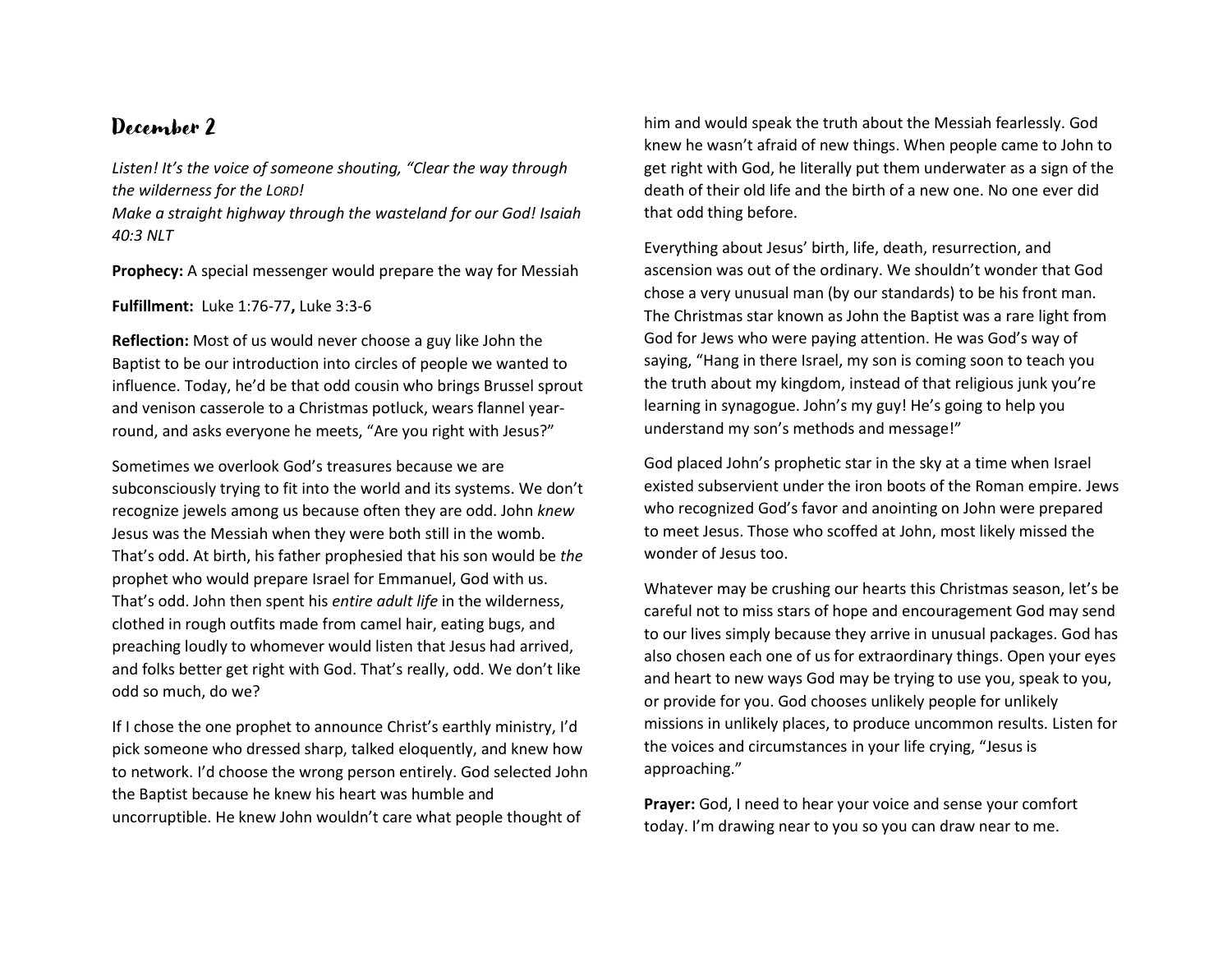*Listen! It's the voice of someone shouting, "Clear the way through the wilderness for the LORD!*

*Make a straight highway through the wasteland for our God! Isaiah 40:3 NLT*

**Prophecy:** A special messenger would prepare the way for Messiah

**Fulfillment:** Luke 1:76-77**,** Luke 3:3-6

**Reflection:** Most of us would never choose a guy like John the Baptist to be our introduction into circles of people we wanted to influence. Today, he'd be that odd cousin who brings Brussel sprout and venison casserole to a Christmas potluck, wears flannel yearround, and asks everyone he meets, "Are you right with Jesus?"

Sometimes we overlook God's treasures because we are subconsciously trying to fit into the world and its systems. We don't recognize jewels among us because often they are odd. John *knew* Jesus was the Messiah when they were both still in the womb. That's odd. At birth, his father prophesied that his son would be *the*  prophet who would prepare Israel for Emmanuel, God with us. That's odd. John then spent his *entire adult life* in the wilderness, clothed in rough outfits made from camel hair, eating bugs, and preaching loudly to whomever would listen that Jesus had arrived, and folks better get right with God. That's really, odd. We don't like odd so much, do we?

If I chose the one prophet to announce Christ's earthly ministry, I'd pick someone who dressed sharp, talked eloquently, and knew how to network. I'd choose the wrong person entirely. God selected John the Baptist because he knew his heart was humble and uncorruptible. He knew John wouldn't care what people thought of

him and would speak the truth about the Messiah fearlessly. God knew he wasn't afraid of new things. When people came to John to get right with God, he literally put them underwater as a sign of the death of their old life and the birth of a new one. No one ever did that odd thing before.

Everything about Jesus' birth, life, death, resurrection, and ascension was out of the ordinary. We shouldn't wonder that God chose a very unusual man (by our standards) to be his front man. The Christmas star known as John the Baptist was a rare light from God for Jews who were paying attention. He was God's way of saying, "Hang in there Israel, my son is coming soon to teach you the truth about my kingdom, instead of that religious junk you're learning in synagogue. John's my guy! He's going to help you understand my son's methods and message!"

God placed John's prophetic star in the sky at a time when Israel existed subservient under the iron boots of the Roman empire. Jews who recognized God's favor and anointing on John were prepared to meet Jesus. Those who scoffed at John, most likely missed the wonder of Jesus too.

Whatever may be crushing our hearts this Christmas season, let's be careful not to miss stars of hope and encouragement God may send to our lives simply because they arrive in unusual packages. God has also chosen each one of us for extraordinary things. Open your eyes and heart to new ways God may be trying to use you, speak to you, or provide for you. God chooses unlikely people for unlikely missions in unlikely places, to produce uncommon results. Listen for the voices and circumstances in your life crying, "Jesus is approaching."

**Prayer:** God, I need to hear your voice and sense your comfort today. I'm drawing near to you so you can draw near to me.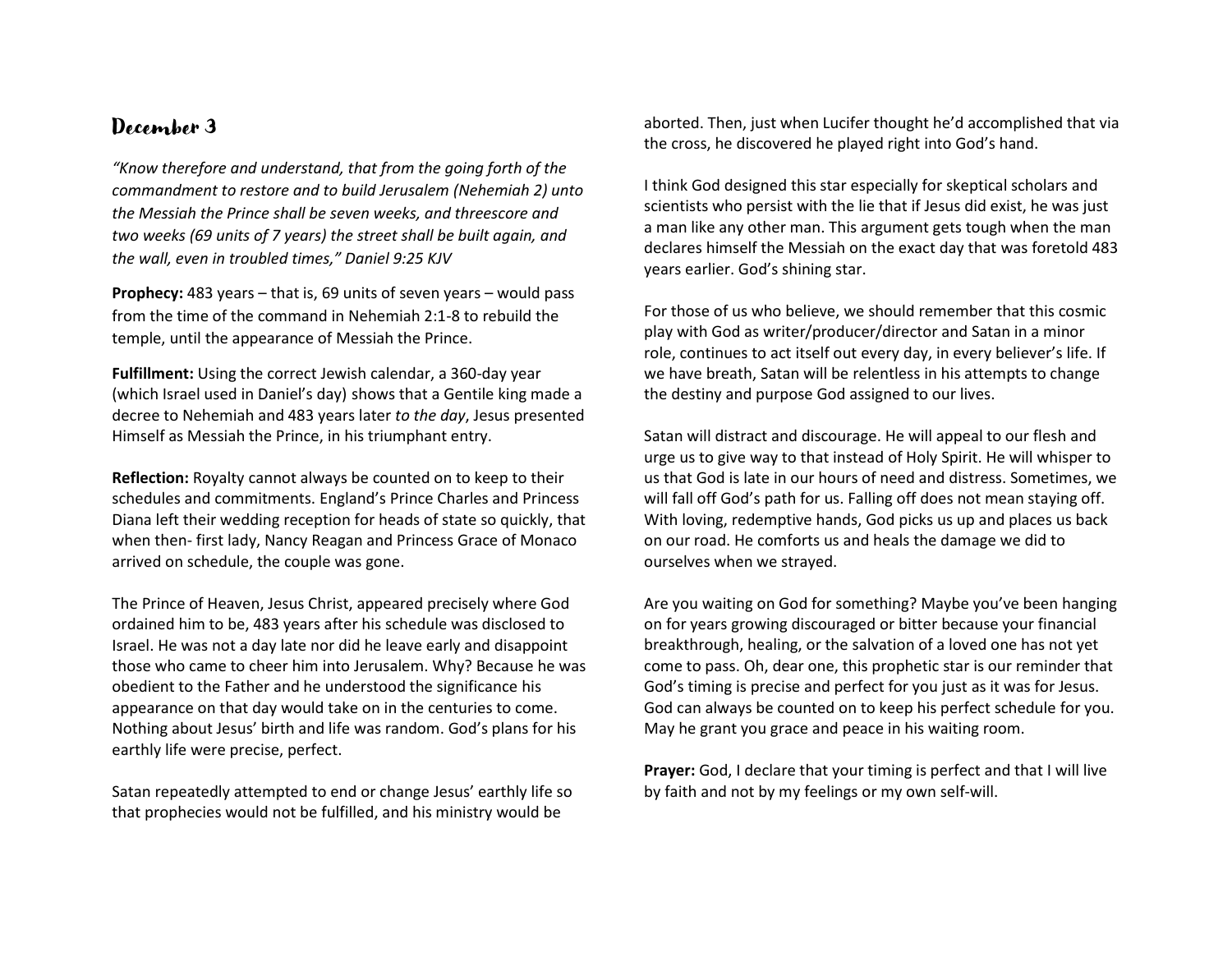*"Know therefore and understand, that from the going forth of the commandment to restore and to build Jerusalem (Nehemiah 2) unto the Messiah the Prince shall be seven weeks, and threescore and two weeks (69 units of 7 years) the street shall be built again, and the wall, even in troubled times," Daniel 9:25 KJV*

**Prophecy:** 483 years – that is, 69 units of seven years – would pass from the time of the command in Nehemiah 2:1-8 to rebuild the temple, until the appearance of Messiah the Prince.

**Fulfillment:** Using the correct Jewish calendar, a 360-day year (which Israel used in Daniel's day) shows that a Gentile king made a decree to Nehemiah and 483 years later *to the day*, Jesus presented Himself as Messiah the Prince, in his triumphant entry.

**Reflection:** Royalty cannot always be counted on to keep to their schedules and commitments. England's Prince Charles and Princess Diana left their wedding reception for heads of state so quickly, that when then- first lady, Nancy Reagan and Princess Grace of Monaco arrived on schedule, the couple was gone.

The Prince of Heaven, Jesus Christ, appeared precisely where God ordained him to be, 483 years after his schedule was disclosed to Israel. He was not a day late nor did he leave early and disappoint those who came to cheer him into Jerusalem. Why? Because he was obedient to the Father and he understood the significance his appearance on that day would take on in the centuries to come. Nothing about Jesus' birth and life was random. God's plans for his earthly life were precise, perfect.

Satan repeatedly attempted to end or change Jesus' earthly life so that prophecies would not be fulfilled, and his ministry would be

aborted. Then, just when Lucifer thought he'd accomplished that via the cross, he discovered he played right into God's hand.

I think God designed this star especially for skeptical scholars and scientists who persist with the lie that if Jesus did exist, he was just a man like any other man. This argument gets tough when the man declares himself the Messiah on the exact day that was foretold 483 years earlier. God's shining star.

For those of us who believe, we should remember that this cosmic play with God as writer/producer/director and Satan in a minor role, continues to act itself out every day, in every believer's life. If we have breath, Satan will be relentless in his attempts to change the destiny and purpose God assigned to our lives.

Satan will distract and discourage. He will appeal to our flesh and urge us to give way to that instead of Holy Spirit. He will whisper to us that God is late in our hours of need and distress. Sometimes, we will fall off God's path for us. Falling off does not mean staying off. With loving, redemptive hands, God picks us up and places us back on our road. He comforts us and heals the damage we did to ourselves when we strayed.

Are you waiting on God for something? Maybe you've been hanging on for years growing discouraged or bitter because your financial breakthrough, healing, or the salvation of a loved one has not yet come to pass. Oh, dear one, this prophetic star is our reminder that God's timing is precise and perfect for you just as it was for Jesus. God can always be counted on to keep his perfect schedule for you. May he grant you grace and peace in his waiting room.

**Prayer:** God, I declare that your timing is perfect and that I will live by faith and not by my feelings or my own self-will.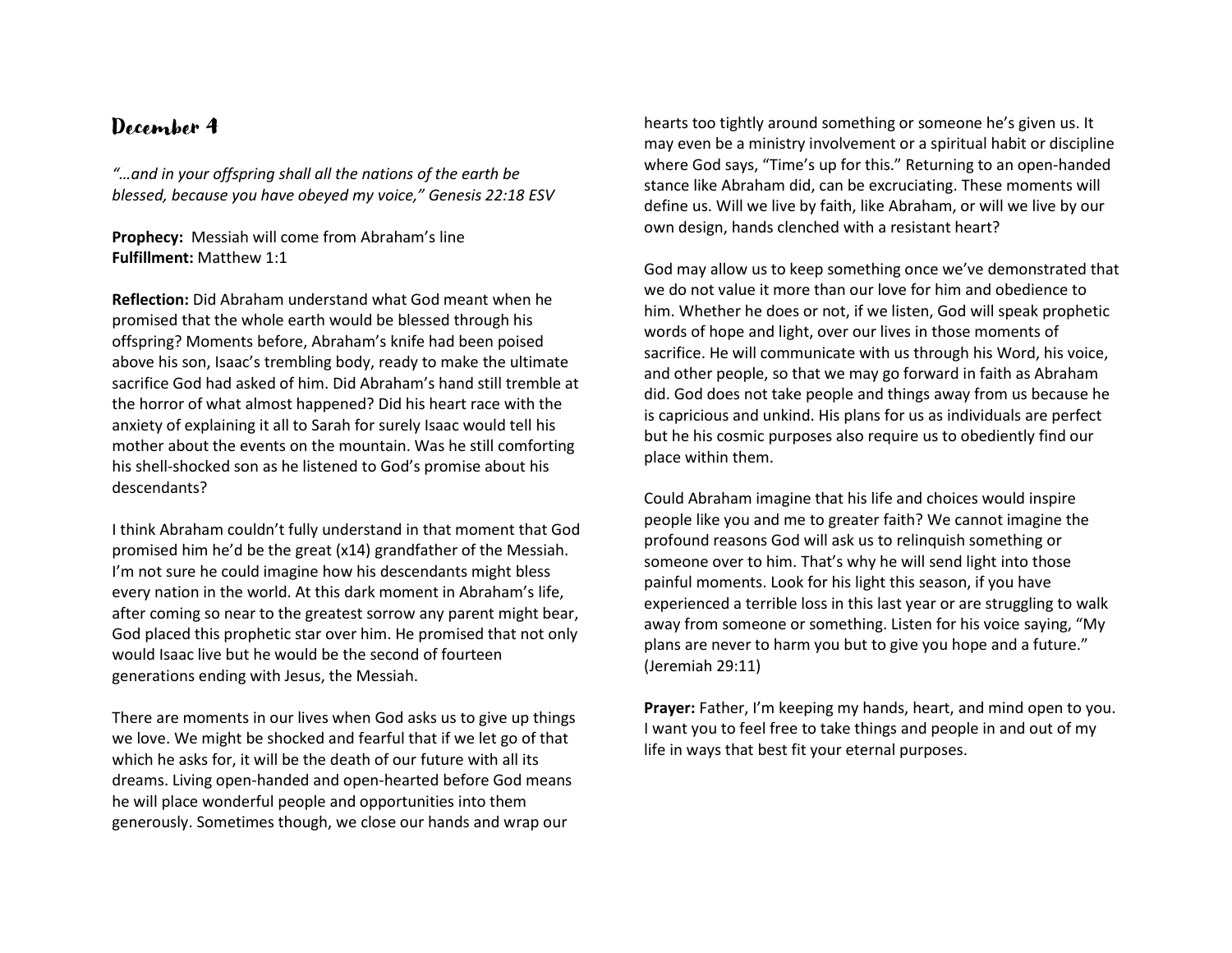*"…and in your offspring shall all the nations of the earth be blessed, because you have obeyed my voice," Genesis 22:18 ESV*

#### **Prophecy:** Messiah will come from Abraham's line **Fulfillment:** Matthew 1:1

**Reflection:** Did Abraham understand what God meant when he promised that the whole earth would be blessed through his offspring? Moments before, Abraham's knife had been poised above his son, Isaac's trembling body, ready to make the ultimate sacrifice God had asked of him. Did Abraham's hand still tremble at the horror of what almost happened? Did his heart race with the anxiety of explaining it all to Sarah for surely Isaac would tell his mother about the events on the mountain. Was he still comforting his shell-shocked son as he listened to God's promise about his descendants?

I think Abraham couldn't fully understand in that moment that God promised him he'd be the great (x14) grandfather of the Messiah. I'm not sure he could imagine how his descendants might bless every nation in the world. At this dark moment in Abraham's life, after coming so near to the greatest sorrow any parent might bear, God placed this prophetic star over him. He promised that not only would Isaac live but he would be the second of fourteen generations ending with Jesus, the Messiah.

There are moments in our lives when God asks us to give up things we love. We might be shocked and fearful that if we let go of that which he asks for, it will be the death of our future with all its dreams. Living open-handed and open-hearted before God means he will place wonderful people and opportunities into them generously. Sometimes though, we close our hands and wrap our

hearts too tightly around something or someone he's given us. It may even be a ministry involvement or a spiritual habit or discipline where God says, "Time's up for this." Returning to an open-handed stance like Abraham did, can be excruciating. These moments will define us. Will we live by faith, like Abraham, or will we live by our own design, hands clenched with a resistant heart?

God may allow us to keep something once we've demonstrated that we do not value it more than our love for him and obedience to him. Whether he does or not, if we listen, God will speak prophetic words of hope and light, over our lives in those moments of sacrifice. He will communicate with us through his Word, his voice, and other people, so that we may go forward in faith as Abraham did. God does not take people and things away from us because he is capricious and unkind. His plans for us as individuals are perfect but he his cosmic purposes also require us to obediently find our place within them.

Could Abraham imagine that his life and choices would inspire people like you and me to greater faith? We cannot imagine the profound reasons God will ask us to relinquish something or someone over to him. That's why he will send light into those painful moments. Look for his light this season, if you have experienced a terrible loss in this last year or are struggling to walk away from someone or something. Listen for his voice saying, "My plans are never to harm you but to give you hope and a future." (Jeremiah 29:11)

**Prayer:** Father, I'm keeping my hands, heart, and mind open to you. I want you to feel free to take things and people in and out of my life in ways that best fit your eternal purposes.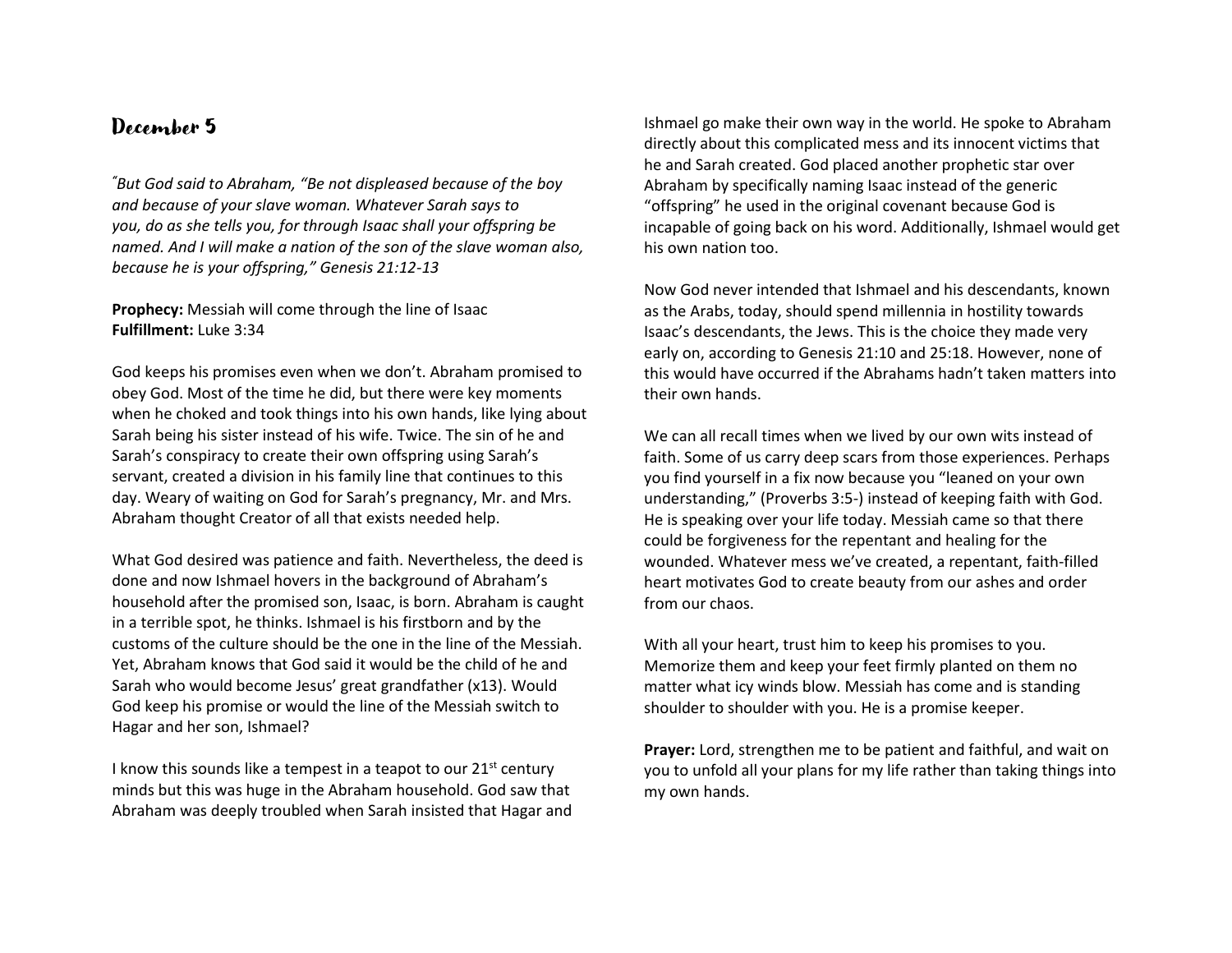*"But God said to Abraham, "Be not displeased because of the boy and because of your slave woman. Whatever Sarah says to you, do as she tells you, for through Isaac shall your offspring be named. And I will make a nation of the son of the slave woman also, because he is your offspring," Genesis 21:12-13*

**Prophecy:** Messiah will come through the line of Isaac **Fulfillment:** Luke 3:34

God keeps his promises even when we don't. Abraham promised to obey God. Most of the time he did, but there were key moments when he choked and took things into his own hands, like lying about Sarah being his sister instead of his wife. Twice. The sin of he and Sarah's conspiracy to create their own offspring using Sarah's servant, created a division in his family line that continues to this day. Weary of waiting on God for Sarah's pregnancy, Mr. and Mrs. Abraham thought Creator of all that exists needed help.

What God desired was patience and faith. Nevertheless, the deed is done and now Ishmael hovers in the background of Abraham's household after the promised son, Isaac, is born. Abraham is caught in a terrible spot, he thinks. Ishmael is his firstborn and by the customs of the culture should be the one in the line of the Messiah. Yet, Abraham knows that God said it would be the child of he and Sarah who would become Jesus' great grandfather (x13). Would God keep his promise or would the line of the Messiah switch to Hagar and her son, Ishmael?

I know this sounds like a tempest in a teapot to our  $21^{st}$  century minds but this was huge in the Abraham household. God saw that Abraham was deeply troubled when Sarah insisted that Hagar and Ishmael go make their own way in the world. He spoke to Abraham directly about this complicated mess and its innocent victims that he and Sarah created. God placed another prophetic star over Abraham by specifically naming Isaac instead of the generic "offspring" he used in the original covenant because God is incapable of going back on his word. Additionally, Ishmael would get his own nation too.

Now God never intended that Ishmael and his descendants, known as the Arabs, today, should spend millennia in hostility towards Isaac's descendants, the Jews. This is the choice they made very early on, according to Genesis 21:10 and 25:18. However, none of this would have occurred if the Abrahams hadn't taken matters into their own hands.

We can all recall times when we lived by our own wits instead of faith. Some of us carry deep scars from those experiences. Perhaps you find yourself in a fix now because you "leaned on your own understanding," (Proverbs 3:5-) instead of keeping faith with God. He is speaking over your life today. Messiah came so that there could be forgiveness for the repentant and healing for the wounded. Whatever mess we've created, a repentant, faith-filled heart motivates God to create beauty from our ashes and order from our chaos.

With all your heart, trust him to keep his promises to you. Memorize them and keep your feet firmly planted on them no matter what icy winds blow. Messiah has come and is standing shoulder to shoulder with you. He is a promise keeper.

**Prayer:** Lord, strengthen me to be patient and faithful, and wait on you to unfold all your plans for my life rather than taking things into my own hands.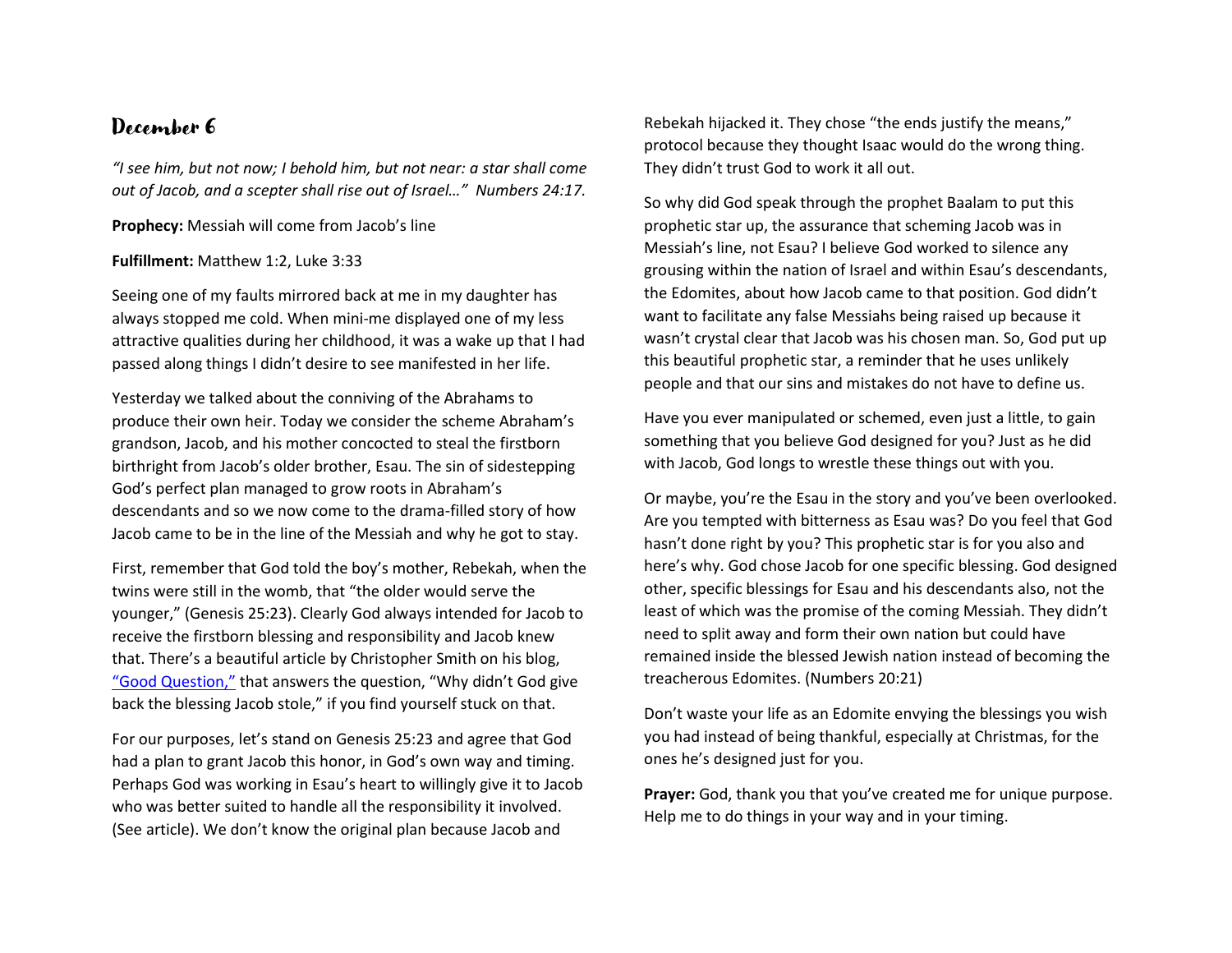*"I see him, but not now; I behold him, but not near: a star shall come out of Jacob, and a scepter shall rise out of Israel…" Numbers 24:17.*

**Prophecy:** Messiah will come from Jacob's line

#### **Fulfillment:** Matthew 1:2, Luke 3:33

Seeing one of my faults mirrored back at me in my daughter has always stopped me cold. When mini-me displayed one of my less attractive qualities during her childhood, it was a wake up that I had passed along things I didn't desire to see manifested in her life.

Yesterday we talked about the conniving of the Abrahams to produce their own heir. Today we consider the scheme Abraham's grandson, Jacob, and his mother concocted to steal the firstborn birthright from Jacob's older brother, Esau. The sin of sidestepping God's perfect plan managed to grow roots in Abraham's descendants and so we now come to the drama-filled story of how Jacob came to be in the line of the Messiah and why he got to stay.

First, remember that God told the boy's mother, Rebekah, when the twins were still in the womb, that "the older would serve the younger," (Genesis 25:23). Clearly God always intended for Jacob to receive the firstborn blessing and responsibility and Jacob knew that. There's a beautiful article by Christopher Smith on his blog, ["Good Question,"](https://goodquestionblog.com/2017/11/17/why-didnt-god-give-esau-back-the-blessing-that-jacob-stole/) that answers the question, "Why didn't God give back the blessing Jacob stole," if you find yourself stuck on that.

For our purposes, let's stand on Genesis 25:23 and agree that God had a plan to grant Jacob this honor, in God's own way and timing. Perhaps God was working in Esau's heart to willingly give it to Jacob who was better suited to handle all the responsibility it involved. (See article). We don't know the original plan because Jacob and

Rebekah hijacked it. They chose "the ends justify the means," protocol because they thought Isaac would do the wrong thing. They didn't trust God to work it all out.

So why did God speak through the prophet Baalam to put this prophetic star up, the assurance that scheming Jacob was in Messiah's line, not Esau? I believe God worked to silence any grousing within the nation of Israel and within Esau's descendants, the Edomites, about how Jacob came to that position. God didn't want to facilitate any false Messiahs being raised up because it wasn't crystal clear that Jacob was his chosen man. So, God put up this beautiful prophetic star, a reminder that he uses unlikely people and that our sins and mistakes do not have to define us.

Have you ever manipulated or schemed, even just a little, to gain something that you believe God designed for you? Just as he did with Jacob, God longs to wrestle these things out with you.

Or maybe, you're the Esau in the story and you've been overlooked. Are you tempted with bitterness as Esau was? Do you feel that God hasn't done right by you? This prophetic star is for you also and here's why. God chose Jacob for one specific blessing. God designed other, specific blessings for Esau and his descendants also, not the least of which was the promise of the coming Messiah. They didn't need to split away and form their own nation but could have remained inside the blessed Jewish nation instead of becoming the treacherous Edomites. (Numbers 20:21)

Don't waste your life as an Edomite envying the blessings you wish you had instead of being thankful, especially at Christmas, for the ones he's designed just for you.

**Prayer:** God, thank you that you've created me for unique purpose. Help me to do things in your way and in your timing.